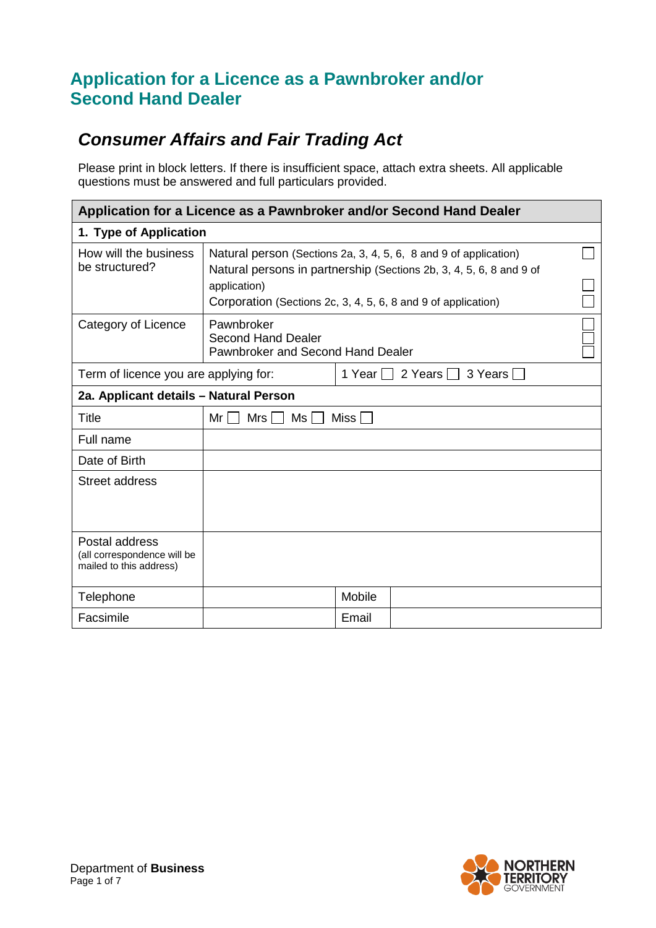# *Consumer Affairs and Fair Trading Act*

Please print in block letters. If there is insufficient space, attach extra sheets. All applicable questions must be answered and full particulars provided.

| Application for a Licence as a Pawnbroker and/or Second Hand Dealer      |                                                                                                                                                                                                                          |        |  |  |  |  |  |
|--------------------------------------------------------------------------|--------------------------------------------------------------------------------------------------------------------------------------------------------------------------------------------------------------------------|--------|--|--|--|--|--|
| 1. Type of Application                                                   |                                                                                                                                                                                                                          |        |  |  |  |  |  |
| How will the business<br>be structured?                                  | Natural person (Sections 2a, 3, 4, 5, 6, 8 and 9 of application)<br>Natural persons in partnership (Sections 2b, 3, 4, 5, 6, 8 and 9 of<br>application)<br>Corporation (Sections 2c, 3, 4, 5, 6, 8 and 9 of application) |        |  |  |  |  |  |
| Category of Licence                                                      | Pawnbroker<br><b>Second Hand Dealer</b><br>Pawnbroker and Second Hand Dealer                                                                                                                                             |        |  |  |  |  |  |
| Term of licence you are applying for:                                    | 2 Years 3 Years<br>1 Year $  \cdot  $                                                                                                                                                                                    |        |  |  |  |  |  |
| 2a. Applicant details - Natural Person                                   |                                                                                                                                                                                                                          |        |  |  |  |  |  |
| Title                                                                    | Miss $\Box$<br>Ms<br>Mr I<br>Mrs I I                                                                                                                                                                                     |        |  |  |  |  |  |
| Full name                                                                |                                                                                                                                                                                                                          |        |  |  |  |  |  |
| Date of Birth                                                            |                                                                                                                                                                                                                          |        |  |  |  |  |  |
| Street address                                                           |                                                                                                                                                                                                                          |        |  |  |  |  |  |
| Postal address<br>(all correspondence will be<br>mailed to this address) |                                                                                                                                                                                                                          |        |  |  |  |  |  |
| Telephone                                                                |                                                                                                                                                                                                                          | Mobile |  |  |  |  |  |
| Facsimile                                                                |                                                                                                                                                                                                                          | Email  |  |  |  |  |  |

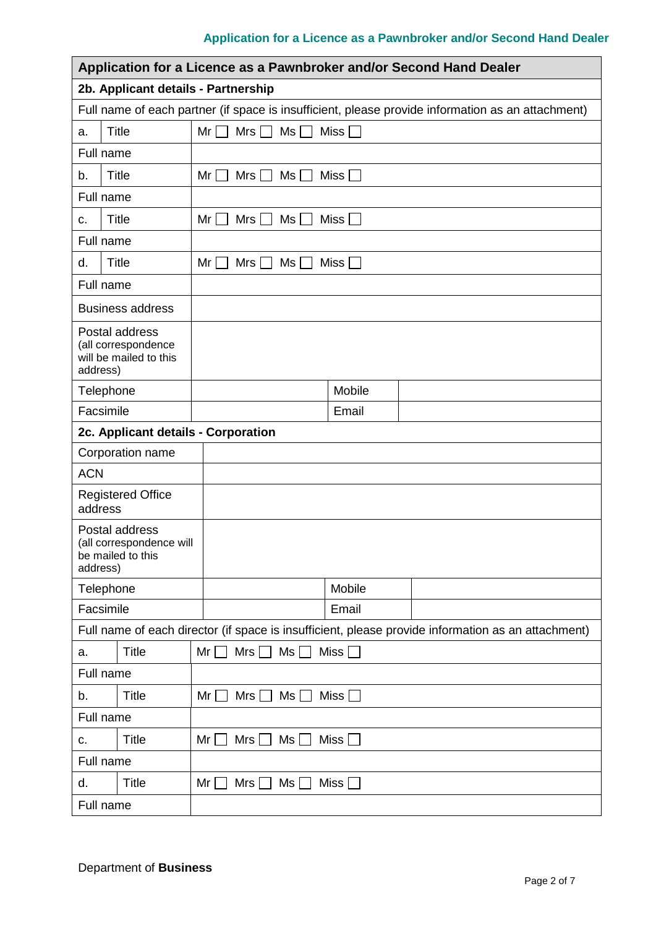| Application for a Licence as a Pawnbroker and/or Second Hand Dealer                                |                                                           |  |  |  |  |  |
|----------------------------------------------------------------------------------------------------|-----------------------------------------------------------|--|--|--|--|--|
| 2b. Applicant details - Partnership                                                                |                                                           |  |  |  |  |  |
| Full name of each partner (if space is insufficient, please provide information as an attachment)  |                                                           |  |  |  |  |  |
| <b>Title</b><br>a.                                                                                 | $Ms \Box$<br>Mrs $\Box$<br>Miss <sup>[</sup><br>$Mr \Box$ |  |  |  |  |  |
| Full name                                                                                          |                                                           |  |  |  |  |  |
| <b>Title</b><br>b.                                                                                 | Mr <sub>l</sub><br>Mrs<br>Ms<br><b>Miss</b>               |  |  |  |  |  |
| Full name                                                                                          |                                                           |  |  |  |  |  |
| <b>Title</b><br>C.                                                                                 | Ms<br><b>Miss</b><br>Mr I<br>Mrs                          |  |  |  |  |  |
| Full name                                                                                          |                                                           |  |  |  |  |  |
| <b>Title</b><br>d.                                                                                 | $Mrs$ $Ms$<br>Miss<br>$Mr$ $ $                            |  |  |  |  |  |
| Full name                                                                                          |                                                           |  |  |  |  |  |
| <b>Business address</b>                                                                            |                                                           |  |  |  |  |  |
| Postal address<br>(all correspondence<br>will be mailed to this<br>address)                        |                                                           |  |  |  |  |  |
| Telephone                                                                                          | Mobile                                                    |  |  |  |  |  |
| Facsimile                                                                                          | Email                                                     |  |  |  |  |  |
| 2c. Applicant details - Corporation                                                                |                                                           |  |  |  |  |  |
| Corporation name                                                                                   |                                                           |  |  |  |  |  |
| <b>ACN</b>                                                                                         |                                                           |  |  |  |  |  |
| <b>Registered Office</b><br>address                                                                |                                                           |  |  |  |  |  |
| Postal address<br>(all correspondence will<br>be mailed to this<br>address)                        |                                                           |  |  |  |  |  |
| Telephone                                                                                          | Mobile                                                    |  |  |  |  |  |
| Facsimile                                                                                          | Email                                                     |  |  |  |  |  |
| Full name of each director (if space is insufficient, please provide information as an attachment) |                                                           |  |  |  |  |  |
| <b>Title</b><br>a.                                                                                 | Mr<br>Mrs<br>Ms<br>Miss <sup>1</sup>                      |  |  |  |  |  |
| Full name                                                                                          |                                                           |  |  |  |  |  |
| <b>Title</b><br>b.                                                                                 | Mrs $\Box$<br>$Ms$ $\Box$<br>Miss $\Box$<br>$Mr$ $\Box$   |  |  |  |  |  |
| Full name                                                                                          |                                                           |  |  |  |  |  |
| <b>Title</b><br>C.                                                                                 | Mr <sub>l</sub><br>$Mrs$ $\lceil$<br>Ms<br>Miss $\Box$    |  |  |  |  |  |
| Full name                                                                                          |                                                           |  |  |  |  |  |
| <b>Title</b><br>d.                                                                                 | Mrs  <br>Ms <br>Miss $\square$<br>Mr <sub>l</sub>         |  |  |  |  |  |
| Full name                                                                                          |                                                           |  |  |  |  |  |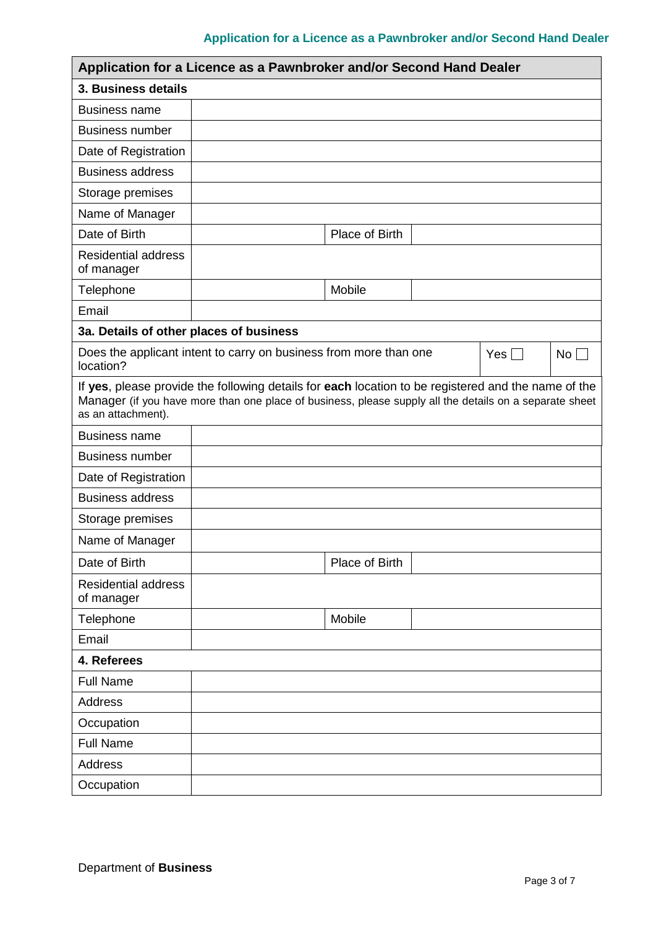|                                                                                                                                                                                                                                      | Application for a Licence as a Pawnbroker and/or Second Hand Dealer |                |  |            |           |
|--------------------------------------------------------------------------------------------------------------------------------------------------------------------------------------------------------------------------------------|---------------------------------------------------------------------|----------------|--|------------|-----------|
| 3. Business details                                                                                                                                                                                                                  |                                                                     |                |  |            |           |
| <b>Business name</b>                                                                                                                                                                                                                 |                                                                     |                |  |            |           |
| <b>Business number</b>                                                                                                                                                                                                               |                                                                     |                |  |            |           |
| Date of Registration                                                                                                                                                                                                                 |                                                                     |                |  |            |           |
| <b>Business address</b>                                                                                                                                                                                                              |                                                                     |                |  |            |           |
| Storage premises                                                                                                                                                                                                                     |                                                                     |                |  |            |           |
| Name of Manager                                                                                                                                                                                                                      |                                                                     |                |  |            |           |
| Date of Birth                                                                                                                                                                                                                        |                                                                     | Place of Birth |  |            |           |
| <b>Residential address</b><br>of manager                                                                                                                                                                                             |                                                                     |                |  |            |           |
| Telephone                                                                                                                                                                                                                            |                                                                     | Mobile         |  |            |           |
| Email                                                                                                                                                                                                                                |                                                                     |                |  |            |           |
| 3a. Details of other places of business                                                                                                                                                                                              |                                                                     |                |  |            |           |
| location?                                                                                                                                                                                                                            | Does the applicant intent to carry on business from more than one   |                |  | Yes $\Box$ | $No \Box$ |
| If yes, please provide the following details for each location to be registered and the name of the<br>Manager (if you have more than one place of business, please supply all the details on a separate sheet<br>as an attachment). |                                                                     |                |  |            |           |
| <b>Business name</b>                                                                                                                                                                                                                 |                                                                     |                |  |            |           |
| <b>Business number</b>                                                                                                                                                                                                               |                                                                     |                |  |            |           |
| Date of Registration                                                                                                                                                                                                                 |                                                                     |                |  |            |           |
| <b>Business address</b>                                                                                                                                                                                                              |                                                                     |                |  |            |           |
| Storage premises                                                                                                                                                                                                                     |                                                                     |                |  |            |           |
| Name of Manager                                                                                                                                                                                                                      |                                                                     |                |  |            |           |
| Date of Birth                                                                                                                                                                                                                        |                                                                     | Place of Birth |  |            |           |
| <b>Residential address</b><br>of manager                                                                                                                                                                                             |                                                                     |                |  |            |           |
| Telephone                                                                                                                                                                                                                            |                                                                     | Mobile         |  |            |           |
| Email                                                                                                                                                                                                                                |                                                                     |                |  |            |           |
| 4. Referees                                                                                                                                                                                                                          |                                                                     |                |  |            |           |
| <b>Full Name</b>                                                                                                                                                                                                                     |                                                                     |                |  |            |           |
| <b>Address</b>                                                                                                                                                                                                                       |                                                                     |                |  |            |           |
| Occupation                                                                                                                                                                                                                           |                                                                     |                |  |            |           |
| <b>Full Name</b>                                                                                                                                                                                                                     |                                                                     |                |  |            |           |
| <b>Address</b>                                                                                                                                                                                                                       |                                                                     |                |  |            |           |
| Occupation                                                                                                                                                                                                                           |                                                                     |                |  |            |           |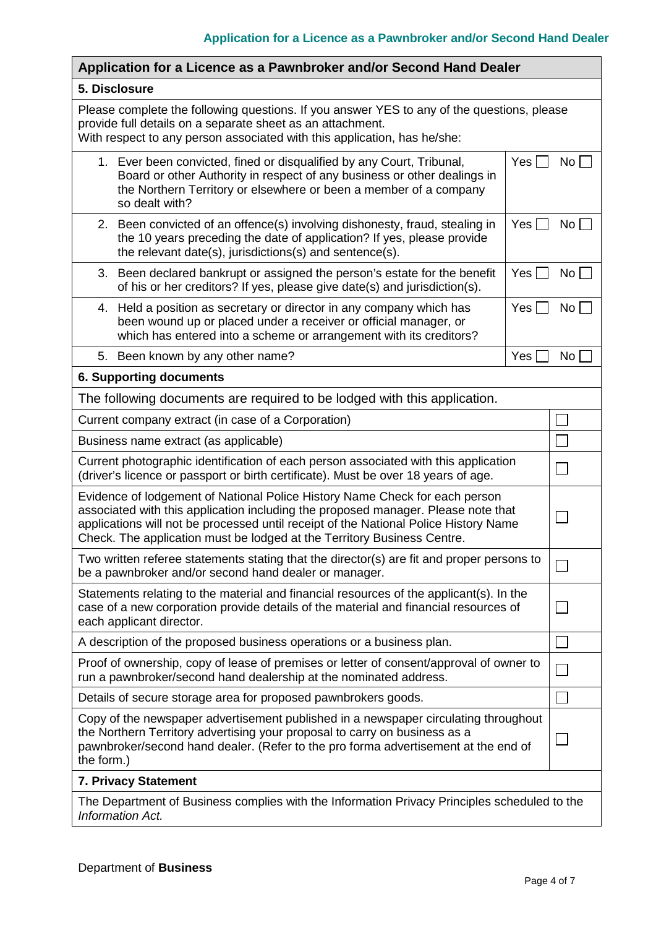| Application for a Licence as a Pawnbroker and/or Second Hand Dealer                                                                                                                                                                                                                                                                 |     |                 |  |  |  |  |
|-------------------------------------------------------------------------------------------------------------------------------------------------------------------------------------------------------------------------------------------------------------------------------------------------------------------------------------|-----|-----------------|--|--|--|--|
| 5. Disclosure                                                                                                                                                                                                                                                                                                                       |     |                 |  |  |  |  |
| Please complete the following questions. If you answer YES to any of the questions, please<br>provide full details on a separate sheet as an attachment.<br>With respect to any person associated with this application, has he/she:                                                                                                |     |                 |  |  |  |  |
| 1. Ever been convicted, fined or disqualified by any Court, Tribunal,<br>$Yes \Box$<br>Board or other Authority in respect of any business or other dealings in<br>the Northern Territory or elsewhere or been a member of a company<br>so dealt with?                                                                              |     |                 |  |  |  |  |
| 2. Been convicted of an offence(s) involving dishonesty, fraud, stealing in<br>Yes<br>the 10 years preceding the date of application? If yes, please provide<br>the relevant date(s), jurisdictions(s) and sentence(s).                                                                                                             |     |                 |  |  |  |  |
| 3. Been declared bankrupt or assigned the person's estate for the benefit<br>of his or her creditors? If yes, please give date(s) and jurisdiction(s).                                                                                                                                                                              | Yes | $No \Box$       |  |  |  |  |
| Held a position as secretary or director in any company which has<br>4.<br>been wound up or placed under a receiver or official manager, or<br>which has entered into a scheme or arrangement with its creditors?                                                                                                                   | Yes | $No$ $\Box$     |  |  |  |  |
| 5. Been known by any other name?                                                                                                                                                                                                                                                                                                    | Yes | No <sub>1</sub> |  |  |  |  |
| <b>6. Supporting documents</b>                                                                                                                                                                                                                                                                                                      |     |                 |  |  |  |  |
| The following documents are required to be lodged with this application.                                                                                                                                                                                                                                                            |     |                 |  |  |  |  |
| Current company extract (in case of a Corporation)                                                                                                                                                                                                                                                                                  |     |                 |  |  |  |  |
| Business name extract (as applicable)                                                                                                                                                                                                                                                                                               |     |                 |  |  |  |  |
| Current photographic identification of each person associated with this application<br>(driver's licence or passport or birth certificate). Must be over 18 years of age.                                                                                                                                                           |     |                 |  |  |  |  |
| Evidence of lodgement of National Police History Name Check for each person<br>associated with this application including the proposed manager. Please note that<br>applications will not be processed until receipt of the National Police History Name<br>Check. The application must be lodged at the Territory Business Centre. |     |                 |  |  |  |  |
| Two written referee statements stating that the director(s) are fit and proper persons to<br>be a pawnbroker and/or second hand dealer or manager.                                                                                                                                                                                  |     |                 |  |  |  |  |
| Statements relating to the material and financial resources of the applicant(s). In the<br>case of a new corporation provide details of the material and financial resources of<br>each applicant director.                                                                                                                         |     |                 |  |  |  |  |
| A description of the proposed business operations or a business plan.                                                                                                                                                                                                                                                               |     |                 |  |  |  |  |
| Proof of ownership, copy of lease of premises or letter of consent/approval of owner to<br>run a pawnbroker/second hand dealership at the nominated address.                                                                                                                                                                        |     |                 |  |  |  |  |
| Details of secure storage area for proposed pawnbrokers goods.                                                                                                                                                                                                                                                                      |     |                 |  |  |  |  |
| Copy of the newspaper advertisement published in a newspaper circulating throughout<br>the Northern Territory advertising your proposal to carry on business as a<br>pawnbroker/second hand dealer. (Refer to the pro forma advertisement at the end of<br>the form.)                                                               |     |                 |  |  |  |  |
| 7. Privacy Statement                                                                                                                                                                                                                                                                                                                |     |                 |  |  |  |  |
| The Department of Business complies with the Information Privacy Principles scheduled to the<br>Information Act.                                                                                                                                                                                                                    |     |                 |  |  |  |  |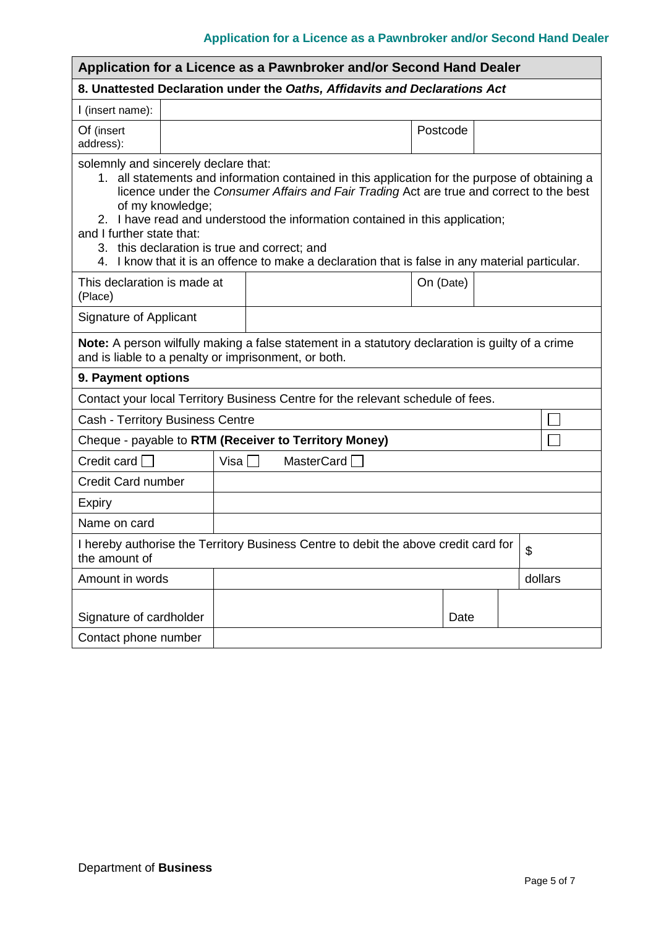| Application for a Licence as a Pawnbroker and/or Second Hand Dealer                                                                                                                                                                                                                                                                                                                                                                                                                                                       |  |                                  |  |  |  |  |           |  |         |
|---------------------------------------------------------------------------------------------------------------------------------------------------------------------------------------------------------------------------------------------------------------------------------------------------------------------------------------------------------------------------------------------------------------------------------------------------------------------------------------------------------------------------|--|----------------------------------|--|--|--|--|-----------|--|---------|
| 8. Unattested Declaration under the Oaths, Affidavits and Declarations Act                                                                                                                                                                                                                                                                                                                                                                                                                                                |  |                                  |  |  |  |  |           |  |         |
| I (insert name):                                                                                                                                                                                                                                                                                                                                                                                                                                                                                                          |  |                                  |  |  |  |  |           |  |         |
| Of (insert<br>address):                                                                                                                                                                                                                                                                                                                                                                                                                                                                                                   |  |                                  |  |  |  |  | Postcode  |  |         |
| solemnly and sincerely declare that:<br>1. all statements and information contained in this application for the purpose of obtaining a<br>licence under the Consumer Affairs and Fair Trading Act are true and correct to the best<br>of my knowledge;<br>2. I have read and understood the information contained in this application;<br>and I further state that:<br>3. this declaration is true and correct; and<br>I know that it is an offence to make a declaration that is false in any material particular.<br>4. |  |                                  |  |  |  |  |           |  |         |
| This declaration is made at<br>(Place)                                                                                                                                                                                                                                                                                                                                                                                                                                                                                    |  |                                  |  |  |  |  | On (Date) |  |         |
| Signature of Applicant                                                                                                                                                                                                                                                                                                                                                                                                                                                                                                    |  |                                  |  |  |  |  |           |  |         |
| Note: A person wilfully making a false statement in a statutory declaration is guilty of a crime<br>and is liable to a penalty or imprisonment, or both.                                                                                                                                                                                                                                                                                                                                                                  |  |                                  |  |  |  |  |           |  |         |
| 9. Payment options                                                                                                                                                                                                                                                                                                                                                                                                                                                                                                        |  |                                  |  |  |  |  |           |  |         |
| Contact your local Territory Business Centre for the relevant schedule of fees.                                                                                                                                                                                                                                                                                                                                                                                                                                           |  |                                  |  |  |  |  |           |  |         |
| <b>Cash - Territory Business Centre</b>                                                                                                                                                                                                                                                                                                                                                                                                                                                                                   |  |                                  |  |  |  |  |           |  |         |
| Cheque - payable to RTM (Receiver to Territory Money)                                                                                                                                                                                                                                                                                                                                                                                                                                                                     |  |                                  |  |  |  |  |           |  |         |
| Credit card $\Box$                                                                                                                                                                                                                                                                                                                                                                                                                                                                                                        |  | Visa $\Box$<br>MasterCard $\Box$ |  |  |  |  |           |  |         |
| <b>Credit Card number</b>                                                                                                                                                                                                                                                                                                                                                                                                                                                                                                 |  |                                  |  |  |  |  |           |  |         |
| <b>Expiry</b>                                                                                                                                                                                                                                                                                                                                                                                                                                                                                                             |  |                                  |  |  |  |  |           |  |         |
| Name on card                                                                                                                                                                                                                                                                                                                                                                                                                                                                                                              |  |                                  |  |  |  |  |           |  |         |
| I hereby authorise the Territory Business Centre to debit the above credit card for $\vert \, \text{\$}$<br>the amount of                                                                                                                                                                                                                                                                                                                                                                                                 |  |                                  |  |  |  |  |           |  |         |
| Amount in words                                                                                                                                                                                                                                                                                                                                                                                                                                                                                                           |  |                                  |  |  |  |  |           |  | dollars |
| Signature of cardholder<br>Contact phone number                                                                                                                                                                                                                                                                                                                                                                                                                                                                           |  |                                  |  |  |  |  | Date      |  |         |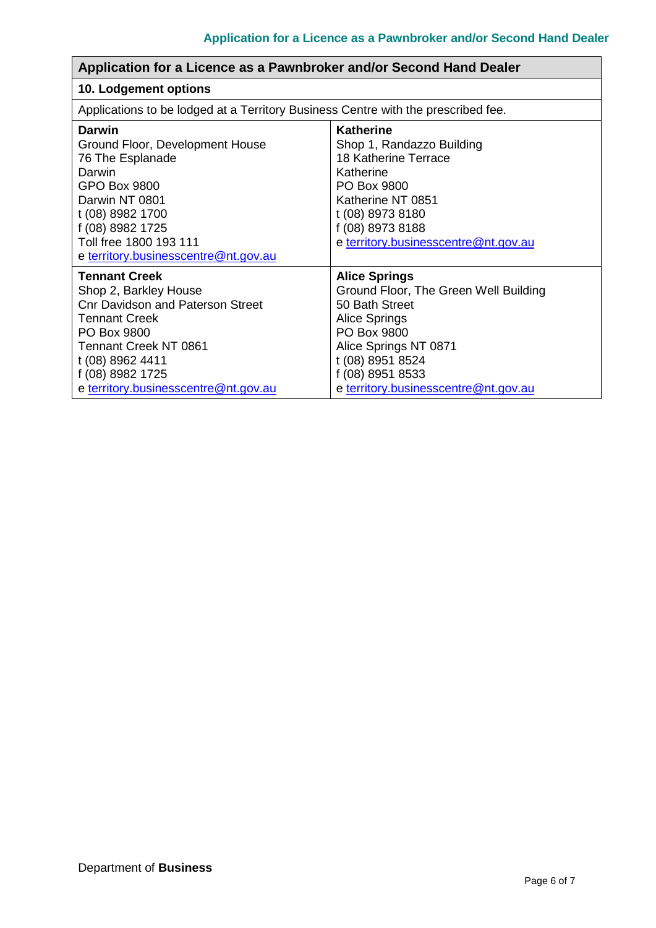| Application for a Licence as a Pawnbroker and/or Second Hand Dealer                                                                                                                                                                             |                                                                                                                                                                                                                                 |  |  |  |  |  |
|-------------------------------------------------------------------------------------------------------------------------------------------------------------------------------------------------------------------------------------------------|---------------------------------------------------------------------------------------------------------------------------------------------------------------------------------------------------------------------------------|--|--|--|--|--|
| 10. Lodgement options                                                                                                                                                                                                                           |                                                                                                                                                                                                                                 |  |  |  |  |  |
| Applications to be lodged at a Territory Business Centre with the prescribed fee.                                                                                                                                                               |                                                                                                                                                                                                                                 |  |  |  |  |  |
| Darwin<br>Ground Floor, Development House<br>76 The Esplanade<br>Darwin<br><b>GPO Box 9800</b><br>Darwin NT 0801<br>t (08) 8982 1700<br>f (08) 8982 1725<br>Toll free 1800 193 111<br>e territory.businesscentre@nt.gov.au                      | Katherine<br>Shop 1, Randazzo Building<br>18 Katherine Terrace<br>Katherine<br>PO Box 9800<br>Katherine NT 0851<br>t (08) 8973 8180<br>f (08) 8973 8188<br>e territory.businesscentre@nt.gov.au                                 |  |  |  |  |  |
| <b>Tennant Creek</b><br>Shop 2, Barkley House<br><b>Cnr Davidson and Paterson Street</b><br><b>Tennant Creek</b><br>PO Box 9800<br><b>Tennant Creek NT 0861</b><br>t (08) 8962 4411<br>f (08) 8982 1725<br>e territory.businesscentre@nt.gov.au | <b>Alice Springs</b><br>Ground Floor, The Green Well Building<br>50 Bath Street<br><b>Alice Springs</b><br>PO Box 9800<br>Alice Springs NT 0871<br>t (08) 8951 8524<br>f (08) 8951 8533<br>e territory.businesscentre@nt.gov.au |  |  |  |  |  |